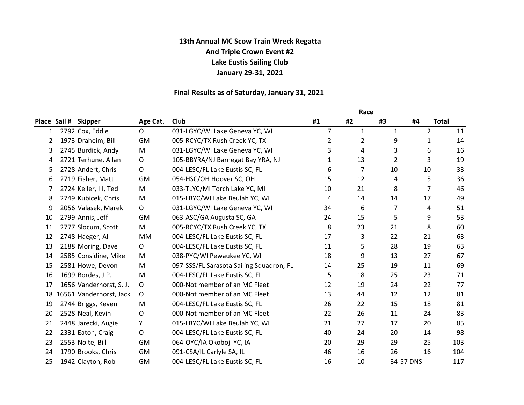# 13th Annual MC Scow Train Wreck Regatta And Triple Crown Event #2 Lake Eustis Sailing Club January 29-31, 2021

## Final Results as of Saturday, January 31, 2021

|    |              |                            |                |                                          | Race           |                |    |                |              |
|----|--------------|----------------------------|----------------|------------------------------------------|----------------|----------------|----|----------------|--------------|
|    | Place Sail # | <b>Skipper</b>             | Age Cat.       | <b>Club</b>                              | #1             | #2             | #3 | #4             | <b>Total</b> |
| 1  |              | 2792 Cox, Eddie            | $\overline{O}$ | 031-LGYC/WI Lake Geneva YC, WI           | $\overline{7}$ | $\mathbf{1}$   | 1  | $\overline{2}$ | 11           |
| 2  |              | 1973 Draheim, Bill         | GM             | 005-RCYC/TX Rush Creek YC, TX            | 2              | $\overline{2}$ | 9  | $\mathbf{1}$   | 14           |
| 3  |              | 2745 Burdick, Andy         | M              | 031-LGYC/WI Lake Geneva YC, WI           | 3              | 4              | 3  | 6              | 16           |
| 4  |              | 2721 Terhune, Allan        | O              | 105-BBYRA/NJ Barnegat Bay YRA, NJ        | 1              | 13             | 2  | 3              | 19           |
| 5  |              | 2728 Andert, Chris         | $\mathsf O$    | 004-LESC/FL Lake Eustis SC, FL           | 6              | 7              | 10 | 10             | 33           |
| 6  |              | 2719 Fisher, Matt          | <b>GM</b>      | 054-HSC/OH Hoover SC, OH                 | 15             | 12             | 4  | 5              | 36           |
| 7  |              | 2724 Keller, III, Ted      | M              | 033-TLYC/MI Torch Lake YC, MI            | 10             | 21             | 8  | $\overline{7}$ | 46           |
| 8  |              | 2749 Kubicek, Chris        | M              | 015-LBYC/WI Lake Beulah YC, WI           | 4              | 14             | 14 | 17             | 49           |
| 9  |              | 2056 Valasek, Marek        | O              | 031-LGYC/WI Lake Geneva YC, WI           | 34             | 6              | 7  | 4              | 51           |
| 10 |              | 2799 Annis, Jeff           | <b>GM</b>      | 063-ASC/GA Augusta SC, GA                | 24             | 15             | 5  | 9              | 53           |
| 11 |              | 2777 Slocum, Scott         | M              | 005-RCYC/TX Rush Creek YC, TX            | 8              | 23             | 21 | 8              | 60           |
| 12 |              | 2748 Haeger, Al            | MM             | 004-LESC/FL Lake Eustis SC, FL           | 17             | 3              | 22 | 21             | 63           |
| 13 |              | 2188 Moring, Dave          | $\mathsf{O}$   | 004-LESC/FL Lake Eustis SC, FL           | 11             | 5              | 28 | 19             | 63           |
| 14 |              | 2585 Considine, Mike       | M              | 038-PYC/WI Pewaukee YC, WI               | 18             | 9              | 13 | 27             | 67           |
| 15 |              | 2581 Howe, Devon           | M              | 097-SSS/FL Sarasota Sailing Squadron, FL | 14             | 25             | 19 | 11             | 69           |
| 16 |              | 1699 Bordes, J.P.          | M              | 004-LESC/FL Lake Eustis SC, FL           | 5              | 18             | 25 | 23             | 71           |
| 17 |              | 1656 Vanderhorst, S. J.    | 0              | 000-Not member of an MC Fleet            | 12             | 19             | 24 | 22             | 77           |
|    |              | 18 16561 Vanderhorst, Jack | O              | 000-Not member of an MC Fleet            | 13             | 44             | 12 | 12             | 81           |
| 19 |              | 2744 Briggs, Keven         | M              | 004-LESC/FL Lake Eustis SC, FL           | 26             | 22             | 15 | 18             | 81           |
| 20 |              | 2528 Neal, Kevin           | $\circ$        | 000-Not member of an MC Fleet            | 22             | 26             | 11 | 24             | 83           |
| 21 |              | 2448 Jarecki, Augie        | Υ              | 015-LBYC/WI Lake Beulah YC, WI           | 21             | 27             | 17 | 20             | 85           |
| 22 |              | 2331 Eaton, Craig          | $\mathsf O$    | 004-LESC/FL Lake Eustis SC, FL           | 40             | 24             | 20 | 14             | 98           |
| 23 |              | 2553 Nolte, Bill           | GM             | 064-OYC/IA Okoboji YC, IA                | 20             | 29             | 29 | 25             | 103          |
| 24 |              | 1790 Brooks, Chris         | <b>GM</b>      | 091-CSA/IL Carlyle SA, IL                | 46             | 16             | 26 | 16             | 104          |
| 25 |              | 1942 Clayton, Rob          | <b>GM</b>      | 004-LESC/FL Lake Eustis SC, FL           | 16             | 10             |    | 34 57 DNS      | 117          |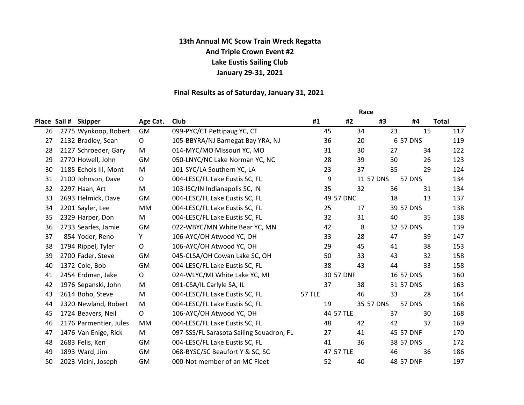# 13th Annual MC Scow Train Wreck Regatta And Triple Crown Event #2 Lake Eustis Sailing Club January 29-31, 2021

## Final Results as of Saturday, January 31, 2021

|    |              |                        |              |                                          | Race   |           |           |    |               |              |
|----|--------------|------------------------|--------------|------------------------------------------|--------|-----------|-----------|----|---------------|--------------|
|    | Place Sail # | <b>Skipper</b>         | Age Cat.     | Club                                     | #1     | #2        |           | #3 | #4            | <b>Total</b> |
| 26 |              | 2775 Wynkoop, Robert   | GM           | 099-PYC/CT Pettipaug YC, CT              |        | 45        | 34        | 23 | 15            | 117          |
| 27 |              | 2132 Bradley, Sean     | $\mathsf{O}$ | 105-BBYRA/NJ Barnegat Bay YRA, NJ        |        | 36        | 20        |    | 6 57 DNS      | 119          |
| 28 |              | 2127 Schroeder, Gary   | M            | 014-MYC/MO Missouri YC, MO               |        | 31        | 30        | 27 | 34            | 122          |
| 29 |              | 2770 Howell, John      | GM           | 050-LNYC/NC Lake Norman YC, NC           |        | 28        | 39        | 30 | 26            | 123          |
| 30 |              | 1185 Echols III, Mont  | M            | 101-SYC/LA Southern YC, LA               |        | 23        | 37        | 35 | 29            | 124          |
| 31 |              | 2100 Johnson, Dave     | $\mathsf O$  | 004-LESC/FL Lake Eustis SC, FL           |        | 9         | 11 57 DNS |    | <b>57 DNS</b> | 134          |
| 32 |              | 2297 Haan, Art         | M            | 103-ISC/IN Indianapolis SC, IN           |        | 35        | 32        | 36 | 31            | 134          |
| 33 |              | 2693 Helmick, Dave     | GM           | 004-LESC/FL Lake Eustis SC, FL           |        | 49 57 DNC |           | 18 | 13            | 137          |
| 34 |              | 2201 Sayler, Lee       | MM           | 004-LESC/FL Lake Eustis SC, FL           |        | 25        | 17        |    | 39 57 DNS     | 138          |
| 35 |              | 2329 Harper, Don       | M            | 004-LESC/FL Lake Eustis SC, FL           |        | 32        | 31        | 40 | 35            | 138          |
| 36 |              | 2733 Searles, Jamie    | GM           | 022-WBYC/MN White Bear YC, MN            |        | 42        | 8         |    | 32 57 DNS     | 139          |
| 37 |              | 854 Yoder, Reno        | Y            | 106-AYC/OH Atwood YC, OH                 |        | 33        | 28        | 47 | 39            | 147          |
| 38 |              | 1794 Rippel, Tyler     | $\mathsf O$  | 106-AYC/OH Atwood YC, OH                 |        | 29        | 45        | 41 | 38            | 153          |
| 39 |              | 2700 Fader, Steve      | GM           | 045-CLSA/OH Cowan Lake SC, OH            |        | 50        | 33        | 43 | 32            | 158          |
| 40 |              | 1372 Cole, Bob         | GM           | 004-LESC/FL Lake Eustis SC, FL           |        | 38        | 43        | 44 | 33            | 158          |
| 41 |              | 2454 Erdman, Jake      | 0            | 024-WLYC/MI White Lake YC, MI            |        | 30 57 DNF |           |    | 16 57 DNS     | 160          |
| 42 |              | 1976 Sepanski, John    | M            | 091-CSA/IL Carlyle SA, IL                |        | 37        | 38        |    | 31 57 DNS     | 163          |
| 43 |              | 2614 Boho, Steve       | M            | 004-LESC/FL Lake Eustis SC, FL           | 57 TLE |           | 46        | 33 | 28            | 164          |
| 44 |              | 2320 Newland, Robert   | M            | 004-LESC/FL Lake Eustis SC, FL           |        | 19        | 35 57 DNS |    | <b>57 DNS</b> | 168          |
| 45 |              | 1724 Beavers, Neil     | $\mathsf O$  | 106-AYC/OH Atwood YC, OH                 |        | 44 57 TLE |           | 37 | 30            | 168          |
| 46 |              | 2176 Parmentier, Jules | МM           | 004-LESC/FL Lake Eustis SC, FL           |        | 48        | 42        | 42 | 37            | 169          |
| 47 |              | 1476 Van Enige, Rick   | M            | 097-SSS/FL Sarasota Sailing Squadron, FL |        | 27        | 41        |    | 45 57 DNF     | 170          |
| 48 |              | 2683 Felis, Ken        | GM           | 004-LESC/FL Lake Eustis SC, FL           |        | 41        | 36        |    | 38 57 DNS     | 172          |
| 49 |              | 1893 Ward, Jim         | <b>GM</b>    | 068-BYSC/SC Beaufort Y & SC, SC          |        | 47 57 TLE |           | 46 | 36            | 186          |
| 50 |              | 2023 Vicini, Joseph    | GM           | 000-Not member of an MC Fleet            |        | 52        | 40        |    | 48 57 DNF     | 197          |